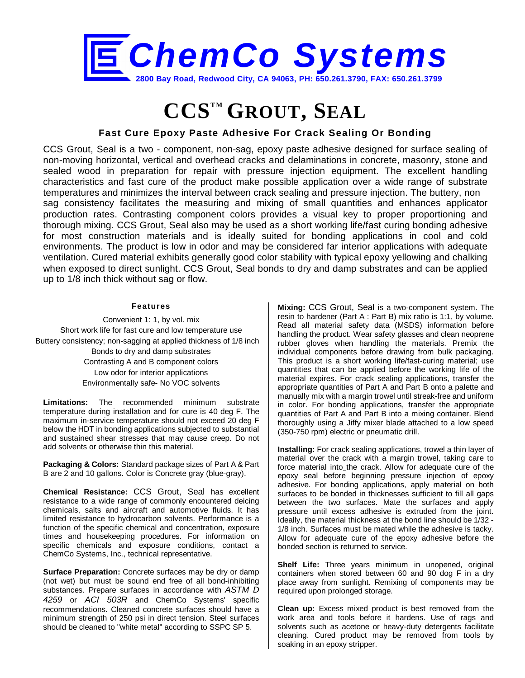

## **CCSTM GROUT, SEAL**

## **Fast Cure Epoxy Paste Adhesive For Crack Sealing Or Bonding**

CCS Grout, Seal is a two - component, non-sag, epoxy paste adhesive designed for surface sealing of non-moving horizontal, vertical and overhead cracks and delaminations in concrete, masonry, stone and sealed wood in preparation for repair with pressure injection equipment. The excellent handling characteristics and fast cure of the product make possible application over a wide range of substrate temperatures and minimizes the interval between crack sealing and pressure injection. The buttery, non sag consistency facilitates the measuring and mixing of small quantities and enhances applicator production rates. Contrasting component colors provides a visual key to proper proportioning and thorough mixing. CCS Grout, Seal also may be used as a short working life/fast curing bonding adhesive for most construction materials and is ideally suited for bonding applications in cool and cold environments. The product is low in odor and may be considered far interior applications with adequate ventilation. Cured material exhibits generally good color stability with typical epoxy yellowing and chalking when exposed to direct sunlight. CCS Grout, Seal bonds to dry and damp substrates and can be applied up to 1/8 inch thick without sag or flow.

## **Features**

Convenient 1: 1, by vol. mix Short work life for fast cure and low temperature use Buttery consistency; non-sagging at applied thickness of 1/8 inch Bonds to dry and damp substrates Contrasting A and B component colors Low odor for interior applications Environmentally safe- No VOC solvents

**Limitations:** The recommended minimum substrate temperature during installation and for cure is 40 deg F. The maximum in-service temperature should not exceed 20 deg F below the HDT in bonding applications subjected to substantial and sustained shear stresses that may cause creep. Do not add solvents or otherwise thin this material.

**Packaging & Colors:** Standard package sizes of Part A & Part B are 2 and 10 gallons. Color is Concrete gray (blue-gray).

**Chemical Resistance:** CCS Grout, Seal has excellent resistance to a wide range of commonly encountered deicing chemicals, salts and aircraft and automotive fluids. It has limited resistance to hydrocarbon solvents. Performance is a function of the specific chemical and concentration, exposure times and housekeeping procedures. For information on specific chemicals and exposure conditions, contact a ChemCo Systems, Inc., technical representative.

**Surface Preparation:** Concrete surfaces may be dry or damp (not wet) but must be sound end free of all bond-inhibiting substances. Prepare surfaces in accordance with *ASTM D 4259* or *ACI 503R* and ChemCo Systems' specific recommendations. Cleaned concrete surfaces should have a minimum strength of 250 psi in direct tension. Steel surfaces should be cleaned to "white metal" according to SSPC SP 5.

**Mixing:** CCS Grout, Seal is a two-component system. The resin to hardener (Part A : Part B) mix ratio is 1:1, by volume. Read all material safety data (MSDS) information before handling the product. Wear safety glasses and clean neoprene rubber gloves when handling the materials. Premix the individual components before drawing from bulk packaging. This product is a short working life/fast-curing material; use quantities that can be applied before the working life of the material expires. For crack sealing applications, transfer the appropriate quantities of Part A and Part B onto a palette and manually mix with a margin trowel until streak-free and uniform in color. For bonding applications, transfer the appropriate quantities of Part A and Part B into a mixing container. Blend thoroughly using a Jiffy mixer blade attached to a low speed (350-750 rpm) electric or pneumatic drill.

**Installing:** For crack sealing applications, trowel a thin layer of material over the crack with a margin trowel, taking care to force material into the crack. Allow for adequate cure of the epoxy seal before beginning pressure injection of epoxy adhesive. For bonding applications, apply material on both surfaces to be bonded in thicknesses sufficient to fill all gaps between the two surfaces. Mate the surfaces and apply pressure until excess adhesive is extruded from the joint. Ideally, the material thickness at the bond line should be 1/32 - 1/8 inch. Surfaces must be mated while the adhesive is tacky. Allow for adequate cure of the epoxy adhesive before the bonded section is returned to service.

**Shelf Life:** Three years minimum in unopened, original containers when stored between 60 and 90 dog F in a dry place away from sunlight. Remixing of components may be required upon prolonged storage.

**Clean up:** Excess mixed product is best removed from the work area and tools before it hardens. Use of rags and solvents such as acetone or heavy-duty detergents facilitate cleaning. Cured product may be removed from tools by soaking in an epoxy stripper.